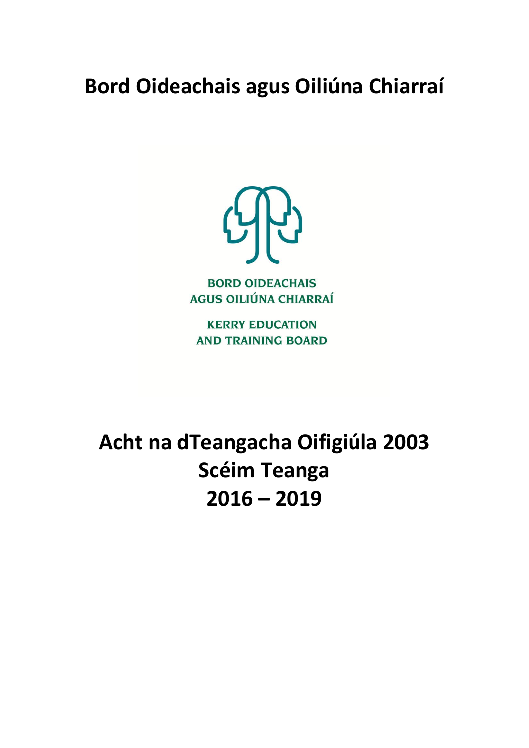# **Bord Oideachais agus Oiliúna Chiarraí**



**BORD OIDEACHAIS AGUS OILIÚNA CHIARRAÍ** 

**KERRY EDUCATION AND TRAINING BOARD** 

**Acht na dTeangacha Oifigiúla 2003 Scéim Teanga 2016 – 2019**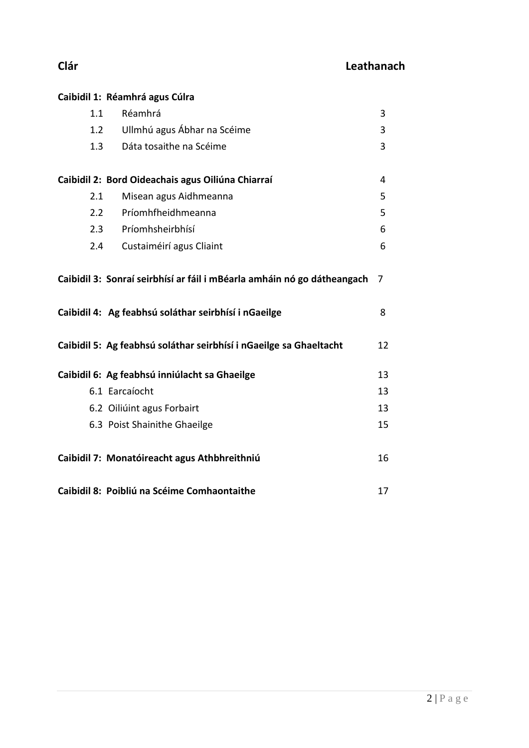|     | Caibidil 1: Réamhrá agus Cúlra                                          |    |
|-----|-------------------------------------------------------------------------|----|
| 1.1 | Réamhrá                                                                 | 3  |
|     | Ullmhú agus Ábhar na Scéime<br>1.2                                      | 3  |
|     | Dáta tosaithe na Scéime<br>1.3                                          | 3  |
|     | Caibidil 2: Bord Oideachais agus Oiliúna Chiarraí                       | 4  |
| 2.1 | Misean agus Aidhmeanna                                                  | 5  |
|     | Príomhfheidhmeanna<br>2.2                                               | 5  |
|     | 2.3 Príomhsheirbhísí                                                    | 6  |
|     | 2.4 Custaiméirí agus Cliaint                                            | 6  |
|     |                                                                         |    |
|     | Caibidil 3: Sonraí seirbhísí ar fáil i mBéarla amháin nó go dátheangach | 7  |
|     | Caibidil 4: Ag feabhsú soláthar seirbhísí i nGaeilge                    | 8  |
|     | Caibidil 5: Ag feabhsú soláthar seirbhísí i nGaeilge sa Ghaeltacht      | 12 |
|     | Caibidil 6: Ag feabhsú inniúlacht sa Ghaeilge                           | 13 |
|     | 6.1 Earcaíocht                                                          | 13 |
|     | 6.2 Oiliúint agus Forbairt                                              | 13 |
|     | 6.3 Poist Shainithe Ghaeilge                                            | 15 |
|     | Caibidil 7: Monatóireacht agus Athbhreithniú                            | 16 |
|     | Caibidil 8: Poibliú na Scéime Comhaontaithe                             | 17 |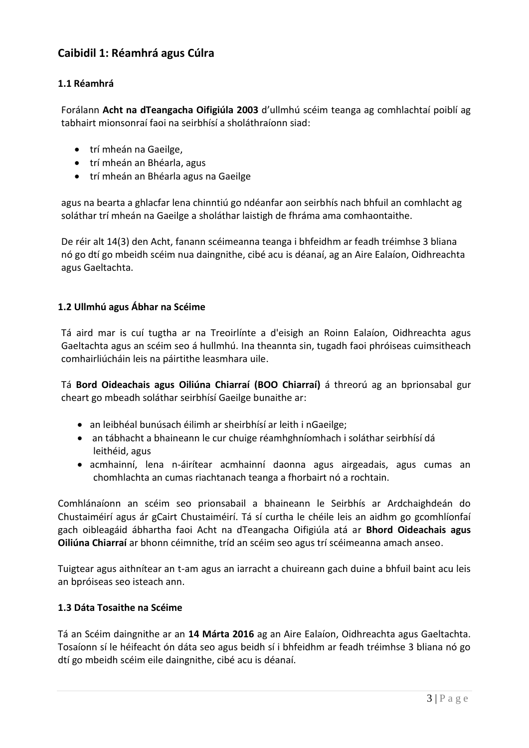## **Caibidil 1: Réamhrá agus Cúlra**

#### **1.1 Réamhrá**

Forálann **Acht na dTeangacha Oifigiúla 2003** d'ullmhú scéim teanga ag comhlachtaí poiblí ag tabhairt mionsonraí faoi na seirbhísí a sholáthraíonn siad:

- trí mheán na Gaeilge,
- trí mheán an Bhéarla, agus
- trí mheán an Bhéarla agus na Gaeilge

agus na bearta a ghlacfar lena chinntiú go ndéanfar aon seirbhís nach bhfuil an comhlacht ag soláthar trí mheán na Gaeilge a sholáthar laistigh de fhráma ama comhaontaithe.

De réir alt 14(3) den Acht, fanann scéimeanna teanga i bhfeidhm ar feadh tréimhse 3 bliana nó go dtí go mbeidh scéim nua daingnithe, cibé acu is déanaí, ag an Aire Ealaíon, Oidhreachta agus Gaeltachta.

#### **1.2 Ullmhú agus Ábhar na Scéime**

Tá aird mar is cuí tugtha ar na Treoirlínte a d'eisigh an Roinn Ealaíon, Oidhreachta agus Gaeltachta agus an scéim seo á hullmhú. Ina theannta sin, tugadh faoi phróiseas cuimsitheach comhairliúcháin leis na páirtithe leasmhara uile.

Tá **Bord Oideachais agus Oiliúna Chiarraí (BOO Chiarraí)** á threorú ag an bprionsabal gur cheart go mbeadh soláthar seirbhísí Gaeilge bunaithe ar:

- an leibhéal bunúsach éilimh ar sheirbhísí ar leith i nGaeilge;
- an tábhacht a bhaineann le cur chuige réamhghníomhach i soláthar seirbhísí dá leithéid, agus
- acmhainní, lena n-áirítear acmhainní daonna agus airgeadais, agus cumas an chomhlachta an cumas riachtanach teanga a fhorbairt nó a rochtain.

Comhlánaíonn an scéim seo prionsabail a bhaineann le Seirbhís ar Ardchaighdeán do Chustaiméirí agus ár gCairt Chustaiméirí. Tá sí curtha le chéile leis an aidhm go gcomhlíonfaí gach oibleagáid ábhartha faoi Acht na dTeangacha Oifigiúla atá ar **Bhord Oideachais agus Oiliúna Chiarraí** ar bhonn céimnithe, tríd an scéim seo agus trí scéimeanna amach anseo.

Tuigtear agus aithnítear an t-am agus an iarracht a chuireann gach duine a bhfuil baint acu leis an bpróiseas seo isteach ann.

#### **1.3 Dáta Tosaithe na Scéime**

Tá an Scéim daingnithe ar an **14 Márta 2016** ag an Aire Ealaíon, Oidhreachta agus Gaeltachta. Tosaíonn sí le héifeacht ón dáta seo agus beidh sí i bhfeidhm ar feadh tréimhse 3 bliana nó go dtí go mbeidh scéim eile daingnithe, cibé acu is déanaí.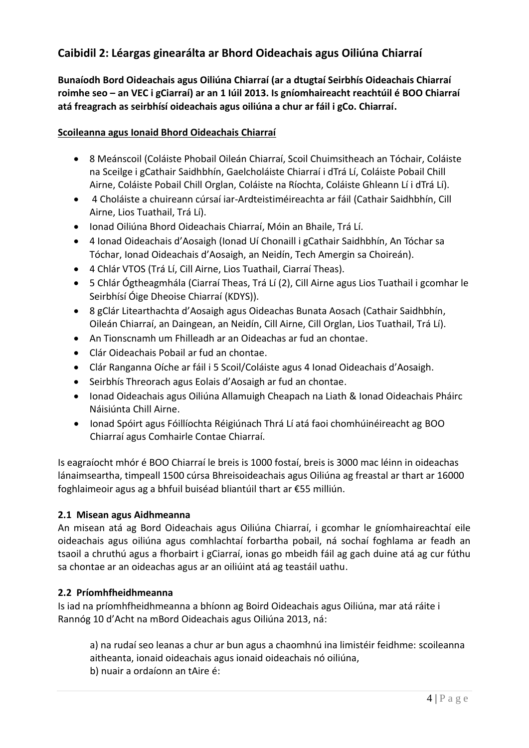## **Caibidil 2: Léargas ginearálta ar Bhord Oideachais agus Oiliúna Chiarraí**

**Bunaíodh Bord Oideachais agus Oiliúna Chiarraí (ar a dtugtaí Seirbhís Oideachais Chiarraí roimhe seo – an VEC i gCiarraí) ar an 1 Iúil 2013. Is gníomhaireacht reachtúil é BOO Chiarraí atá freagrach as seirbhísí oideachais agus oiliúna a chur ar fáil i gCo. Chiarraí.**

#### **Scoileanna agus Ionaid Bhord Oideachais Chiarraí**

- 8 Meánscoil (Coláiste Phobail Oileán Chiarraí, Scoil Chuimsitheach an Tóchair, Coláiste na Sceilge i gCathair Saidhbhín, Gaelcholáiste Chiarraí i dTrá Lí, Coláiste Pobail Chill Airne, Coláiste Pobail Chill Orglan, Coláiste na Ríochta, Coláiste Ghleann Lí i dTrá Lí).
- 4 Choláiste a chuireann cúrsaí iar-Ardteistiméireachta ar fáil (Cathair Saidhbhín, Cill Airne, Lios Tuathail, Trá Lí).
- Ionad Oiliúna Bhord Oideachais Chiarraí, Móin an Bhaile, Trá Lí.
- 4 Ionad Oideachais d'Aosaigh (Ionad Uí Chonaill i gCathair Saidhbhín, An Tóchar sa Tóchar, Ionad Oideachais d'Aosaigh, an Neidín, Tech Amergin sa Choireán).
- 4 Chlár VTOS (Trá Lí, Cill Airne, Lios Tuathail, Ciarraí Theas).
- 5 Chlár Ógtheagmhála (Ciarraí Theas, Trá Lí (2), Cill Airne agus Lios Tuathail i gcomhar le Seirbhísí Óige Dheoise Chiarraí (KDYS)).
- 8 g Clár Litearthachta d'Aosaigh agus Oideachas Bunata Aosach (Cathair Saidhbhín, Oileán Chiarraí, an Daingean, an Neidín, Cill Airne, Cill Orglan, Lios Tuathail, Trá Lí).
- An Tionscnamh um Fhilleadh ar an Oideachas ar fud an chontae.
- Clár Oideachais Pobail ar fud an chontae.
- Clár Ranganna Oíche ar fáil i 5 Scoil/Coláiste agus 4 Ionad Oideachais d'Aosaigh.
- Seirbhís Threorach agus Eolais d'Aosaigh ar fud an chontae.
- Ionad Oideachais agus Oiliúna Allamuigh Cheapach na Liath & Ionad Oideachais Pháirc Náisiúnta Chill Airne.
- Ionad Spóirt agus Fóillíochta Réigiúnach Thrá Lí atá faoi chomhúinéireacht ag BOO Chiarraí agus Comhairle Contae Chiarraí.

Is eagraíocht mhór é BOO Chiarraí le breis is 1000 fostaí, breis is 3000 mac léinn in oideachas lánaimseartha, timpeall 1500 cúrsa Bhreisoideachais agus Oiliúna ag freastal ar thart ar 16000 foghlaimeoir agus ag a bhfuil buiséad bliantúil thart ar €55 milliún.

#### **2.1 Misean agus Aidhmeanna**

An misean atá ag Bord Oideachais agus Oiliúna Chiarraí, i gcomhar le gníomhaireachtaí eile oideachais agus oiliúna agus comhlachtaí forbartha pobail, ná sochaí foghlama ar feadh an tsaoil a chruthú agus a fhorbairt i gCiarraí, ionas go mbeidh fáil ag gach duine atá ag cur fúthu sa chontae ar an oideachas agus ar an oiliúint atá ag teastáil uathu.

#### **2.2 Príomhfheidhmeanna**

Is iad na príomhfheidhmeanna a bhíonn ag Boird Oideachais agus Oiliúna, mar atá ráite i Rannóg 10 d'Acht na mBord Oideachais agus Oiliúna 2013, ná:

a) na rudaí seo leanas a chur ar bun agus a chaomhnú ina limistéir feidhme: scoileanna aitheanta, ionaid oideachais agus ionaid oideachais nó oiliúna, b) nuair a ordaíonn an tAire é: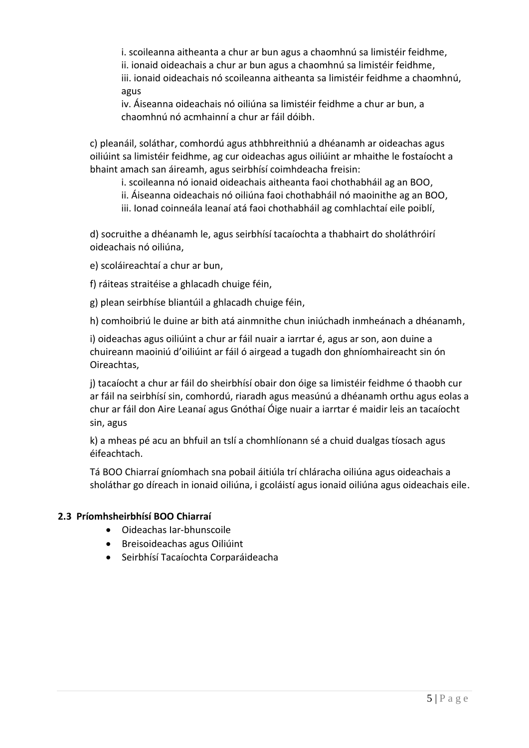i. scoileanna aitheanta a chur ar bun agus a chaomhnú sa limistéir feidhme, ii. ionaid oideachais a chur ar bun agus a chaomhnú sa limistéir feidhme, iii. ionaid oideachais nó scoileanna aitheanta sa limistéir feidhme a chaomhnú, agus

iv. Áiseanna oideachais nó oiliúna sa limistéir feidhme a chur ar bun, a chaomhnú nó acmhainní a chur ar fáil dóibh.

c) pleanáil, soláthar, comhordú agus athbhreithniú a dhéanamh ar oideachas agus oiliúint sa limistéir feidhme, ag cur oideachas agus oiliúint ar mhaithe le fostaíocht a bhaint amach san áireamh, agus seirbhísí coimhdeacha freisin:

i. scoileanna nó ionaid oideachais aitheanta faoi chothabháil ag an BOO,

- ii. Áiseanna oideachais nó oiliúna faoi chothabháil nó maoinithe ag an BOO,
- iii. Ionad coinneála leanaí atá faoi chothabháil ag comhlachtaí eile poiblí,

d) socruithe a dhéanamh le, agus seirbhísí tacaíochta a thabhairt do sholáthróirí oideachais nó oiliúna,

e) scoláireachtaí a chur ar bun,

f) ráiteas straitéise a ghlacadh chuige féin,

g) plean seirbhíse bliantúil a ghlacadh chuige féin,

h) comhoibriú le duine ar bith atá ainmnithe chun iniúchadh inmheánach a dhéanamh,

i) oideachas agus oiliúint a chur ar fáil nuair a iarrtar é, agus ar son, aon duine a chuireann maoiniú d'oiliúint ar fáil ó airgead a tugadh don ghníomhaireacht sin ón Oireachtas,

j) tacaíocht a chur ar fáil do sheirbhísí obair don óige sa limistéir feidhme ó thaobh cur ar fáil na seirbhísí sin, comhordú, riaradh agus measúnú a dhéanamh orthu agus eolas a chur ar fáil don Aire Leanaí agus Gnóthaí Óige nuair a iarrtar é maidir leis an tacaíocht sin, agus

k) a mheas pé acu an bhfuil an tslí a chomhlíonann sé a chuid dualgas tíosach agus éifeachtach.

Tá BOO Chiarraí gníomhach sna pobail áitiúla trí chláracha oiliúna agus oideachais a sholáthar go díreach in ionaid oiliúna, i gcoláistí agus ionaid oiliúna agus oideachais eile.

#### **2.3 Príomhsheirbhísí BOO Chiarraí**

- Oideachas Iar-bhunscoile
- Breisoideachas agus Oiliúint
- Seirbhísí Tacaíochta Corparáideacha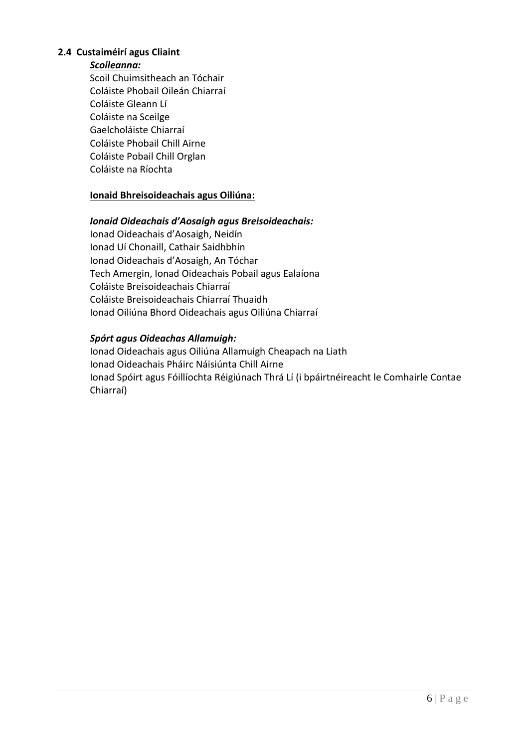#### **2.4 Custaiméirí agus Cliaint**

#### *Scoileanna:*

Scoil Chuimsitheach an Tóchair Coláiste Phobail Oileán Chiarraí Coláiste Gleann Lí Coláiste na Sceilge Gaelcholáiste Chiarraí Coláiste Phobail Chill Airne Coláiste Pobail Chill Orglan Coláiste na Ríochta

#### **Ionaid Bhreisoideachais agus Oiliúna:**

#### *Ionaid Oideachais d'Aosaigh agus Breisoideachais:*

Ionad Oideachais d'Aosaigh, Neidín Ionad Uí Chonaill, Cathair Saidhbhín Ionad Oideachais d'Aosaigh, An Tóchar Tech Amergin, Ionad Oideachais Pobail agus Ealaíona Coláiste Breisoideachais Chiarraí Coláiste Breisoideachais Chiarraí Thuaidh Ionad Oiliúna Bhord Oideachais agus Oiliúna Chiarraí

#### *Spórt agus Oideachas Allamuigh:*

Ionad Oideachais agus Oiliúna Allamuigh Cheapach na Liath Ionad Oideachais Pháirc Náisiúnta Chill Airne Ionad Spóirt agus Fóillíochta Réigiúnach Thrá Lí (i bpáirtnéireacht le Comhairle Contae Chiarraí)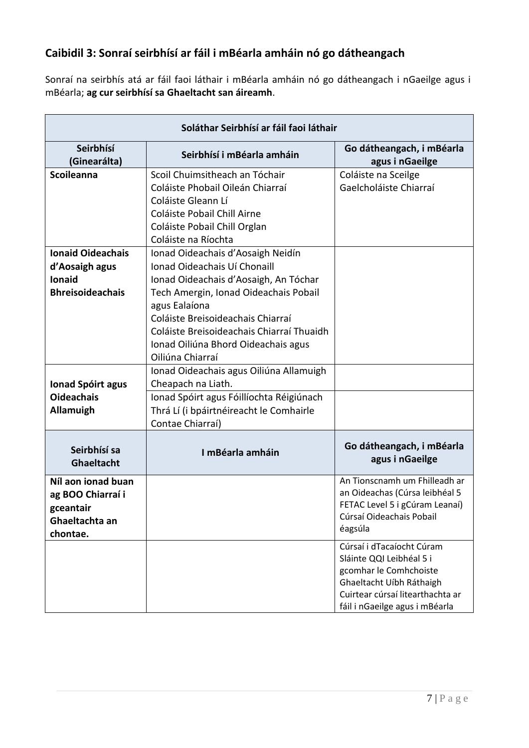## **Caibidil 3: Sonraí seirbhísí ar fáil i mBéarla amháin nó go dátheangach**

Sonraí na seirbhís atá ar fáil faoi láthair i mBéarla amháin nó go dátheangach i nGaeilge agus i mBéarla; **ag cur seirbhísí sa Ghaeltacht san áireamh**.

| Soláthar Seirbhísí ar fáil faoi láthair                                                |                                                                                                                                                                                                                                                                                                                   |                                                                                                                                                                                   |  |  |
|----------------------------------------------------------------------------------------|-------------------------------------------------------------------------------------------------------------------------------------------------------------------------------------------------------------------------------------------------------------------------------------------------------------------|-----------------------------------------------------------------------------------------------------------------------------------------------------------------------------------|--|--|
| Seirbhísí<br>(Ginearálta)                                                              | Seirbhísí i mBéarla amháin                                                                                                                                                                                                                                                                                        | Go dátheangach, i mBéarla<br>agus i nGaeilge                                                                                                                                      |  |  |
| <b>Scoileanna</b>                                                                      | Scoil Chuimsitheach an Tóchair<br>Coláiste Phobail Oileán Chiarraí<br>Coláiste Gleann Lí<br>Coláiste Pobail Chill Airne<br>Coláiste Pobail Chill Orglan<br>Coláiste na Ríochta                                                                                                                                    | Coláiste na Sceilge<br>Gaelcholáiste Chiarraí                                                                                                                                     |  |  |
| <b>Ionaid Oideachais</b><br>d'Aosaigh agus<br><b>Ionaid</b><br><b>Bhreisoideachais</b> | Ionad Oideachais d'Aosaigh Neidín<br>Ionad Oideachais Uí Chonaill<br>Ionad Oideachais d'Aosaigh, An Tóchar<br>Tech Amergin, Ionad Oideachais Pobail<br>agus Ealaíona<br>Coláiste Breisoideachais Chiarraí<br>Coláiste Breisoideachais Chiarraí Thuaidh<br>Ionad Oiliúna Bhord Oideachais agus<br>Oiliúna Chiarraí |                                                                                                                                                                                   |  |  |
| Ionad Spóirt agus<br><b>Oideachais</b><br><b>Allamuigh</b>                             | Ionad Oideachais agus Oiliúna Allamuigh<br>Cheapach na Liath.<br>Ionad Spóirt agus Fóillíochta Réigiúnach<br>Thrá Lí (i bpáirtnéireacht le Comhairle<br>Contae Chiarraí)                                                                                                                                          |                                                                                                                                                                                   |  |  |
| Seirbhísí sa<br>Ghaeltacht                                                             | I mBéarla amháin                                                                                                                                                                                                                                                                                                  | Go dátheangach, i mBéarla<br>agus i nGaeilge                                                                                                                                      |  |  |
| Níl aon ionad buan<br>ag BOO Chiarraí i<br>gceantair<br>Ghaeltachta an<br>chontae.     |                                                                                                                                                                                                                                                                                                                   | An Tionscnamh um Fhilleadh ar<br>an Oideachas (Cúrsa leibhéal 5<br>FETAC Level 5 i gCúram Leanaí)<br>Cúrsaí Oideachais Pobail<br>éagsúla                                          |  |  |
|                                                                                        |                                                                                                                                                                                                                                                                                                                   | Cúrsaí i dTacaíocht Cúram<br>Sláinte QQI Leibhéal 5 i<br>gcomhar le Comhchoiste<br>Ghaeltacht Uíbh Ráthaigh<br>Cuirtear cúrsaí litearthachta ar<br>fáil i nGaeilge agus i mBéarla |  |  |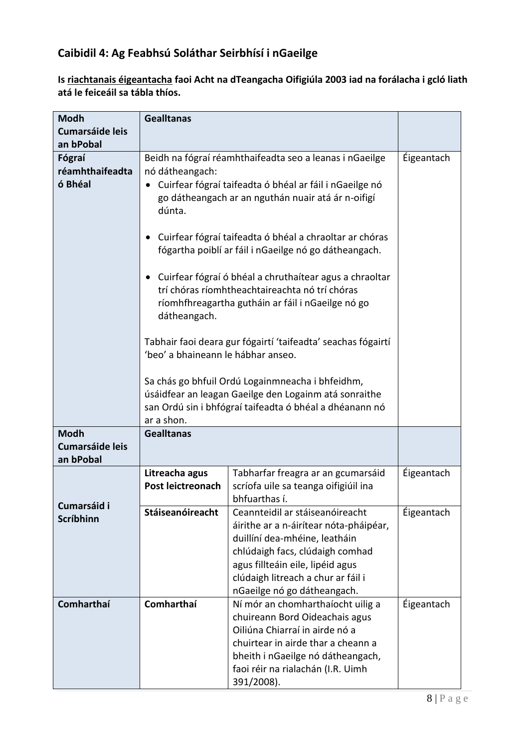## **Caibidil 4: Ag Feabhsú Soláthar Seirbhísí i nGaeilge**

**Is riachtanais éigeantacha faoi Acht na dTeangacha Oifigiúla 2003 iad na forálacha i gcló liath atá le feiceáil sa tábla thíos.**

| <b>Modh</b>                         | <b>Gealltanas</b>                                                    |                                                                                                                  |            |  |  |
|-------------------------------------|----------------------------------------------------------------------|------------------------------------------------------------------------------------------------------------------|------------|--|--|
| <b>Cumarsáide leis</b>              |                                                                      |                                                                                                                  |            |  |  |
| an bPobal                           |                                                                      |                                                                                                                  |            |  |  |
| Fógraí                              |                                                                      | Beidh na fógraí réamhthaifeadta seo a leanas i nGaeilge                                                          | Éigeantach |  |  |
| réamhthaifeadta                     | nó dátheangach:                                                      |                                                                                                                  |            |  |  |
| ó Bhéal                             | Cuirfear fógraí taifeadta ó bhéal ar fáil i nGaeilge nó<br>$\bullet$ |                                                                                                                  |            |  |  |
|                                     | go dátheangach ar an nguthán nuair atá ár n-oifigí                   |                                                                                                                  |            |  |  |
|                                     | dúnta.                                                               |                                                                                                                  |            |  |  |
|                                     | $\bullet$                                                            |                                                                                                                  |            |  |  |
|                                     |                                                                      | Cuirfear fógraí taifeadta ó bhéal a chraoltar ar chóras<br>fógartha poiblí ar fáil i nGaeilge nó go dátheangach. |            |  |  |
|                                     |                                                                      |                                                                                                                  |            |  |  |
|                                     | $\bullet$                                                            | Cuirfear fógraí ó bhéal a chruthaítear agus a chraoltar                                                          |            |  |  |
|                                     |                                                                      | trí chóras ríomhtheachtaireachta nó trí chóras                                                                   |            |  |  |
|                                     |                                                                      | ríomhfhreagartha gutháin ar fáil i nGaeilge nó go                                                                |            |  |  |
|                                     | dátheangach.                                                         |                                                                                                                  |            |  |  |
|                                     |                                                                      | Tabhair faoi deara gur fógairtí 'taifeadta' seachas fógairtí                                                     |            |  |  |
|                                     | 'beo' a bhaineann le hábhar anseo.                                   |                                                                                                                  |            |  |  |
|                                     |                                                                      |                                                                                                                  |            |  |  |
|                                     | Sa chás go bhfuil Ordú Logainmneacha i bhfeidhm,                     |                                                                                                                  |            |  |  |
|                                     |                                                                      | úsáidfear an leagan Gaeilge den Logainm atá sonraithe                                                            |            |  |  |
|                                     |                                                                      | san Ordú sin i bhfógraí taifeadta ó bhéal a dhéanann nó                                                          |            |  |  |
|                                     | ar a shon.                                                           |                                                                                                                  |            |  |  |
| <b>Modh</b>                         | <b>Gealltanas</b>                                                    |                                                                                                                  |            |  |  |
| <b>Cumarsáide leis</b><br>an bPobal |                                                                      |                                                                                                                  |            |  |  |
|                                     | Litreacha agus                                                       | Tabharfar freagra ar an gcumarsáid                                                                               | Éigeantach |  |  |
|                                     | Post leictreonach                                                    | scríofa uile sa teanga oifigiúil ina                                                                             |            |  |  |
|                                     |                                                                      | bhfuarthas í.                                                                                                    |            |  |  |
| Cumarsáid i                         | Stáiseanóireacht                                                     | Ceannteidil ar stáiseanóireacht                                                                                  | Éigeantach |  |  |
| Scríbhinn                           |                                                                      |                                                                                                                  |            |  |  |
|                                     |                                                                      | duillíní dea-mhéine, leatháin                                                                                    |            |  |  |
|                                     |                                                                      |                                                                                                                  |            |  |  |
|                                     |                                                                      |                                                                                                                  |            |  |  |
|                                     |                                                                      |                                                                                                                  |            |  |  |
|                                     |                                                                      | nGaeilge nó go dátheangach.                                                                                      |            |  |  |
| Comharthaí                          | Comharthaí                                                           | Ní mór an chomharthaíocht uilig a<br>chuireann Bord Oideachais agus                                              | Éigeantach |  |  |
|                                     |                                                                      | Oiliúna Chiarraí in airde nó a                                                                                   |            |  |  |
|                                     |                                                                      | chuirtear in airde thar a cheann a                                                                               |            |  |  |
|                                     |                                                                      | bheith i nGaeilge nó dátheangach,                                                                                |            |  |  |
|                                     |                                                                      | faoi réir na rialachán (I.R. Uimh                                                                                |            |  |  |
|                                     |                                                                      | 391/2008).                                                                                                       |            |  |  |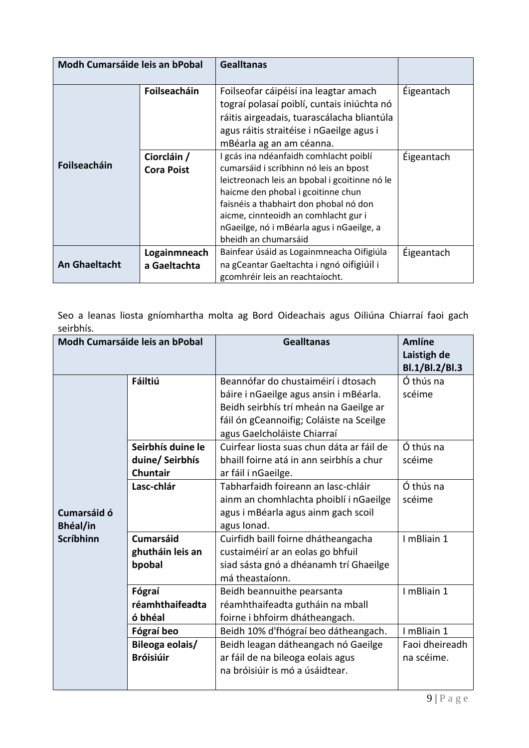| Modh Cumarsáide leis an bPobal                       |                                  | <b>Gealltanas</b>                                                                                                                                                                                                                                                                                                              |            |
|------------------------------------------------------|----------------------------------|--------------------------------------------------------------------------------------------------------------------------------------------------------------------------------------------------------------------------------------------------------------------------------------------------------------------------------|------------|
|                                                      | Foilseacháin                     | Foilseofar cáipéisí ina leagtar amach<br>tograí polasaí poiblí, cuntais iniúchta nó<br>ráitis airgeadais, tuarascálacha bliantúla<br>agus ráitis straitéise i nGaeilge agus i<br>mBéarla ag an am céanna.                                                                                                                      | Éigeantach |
| Foilseacháin                                         | Ciorcláin /<br><b>Cora Poist</b> | I gcás ina ndéanfaidh comhlacht poiblí<br>cumarsáid i scríbhinn nó leis an bpost<br>leictreonach leis an bpobal i gcoitinne nó le<br>haicme den phobal i gcoitinne chun<br>faisnéis a thabhairt don phobal nó don<br>aicme, cinnteoidh an comhlacht gur i<br>nGaeilge, nó i mBéarla agus i nGaeilge, a<br>bheidh an chumarsáid | Éigeantach |
| Logainmneach<br><b>An Ghaeltacht</b><br>a Gaeltachta |                                  | Bainfear úsáid as Logainmneacha Oifigiúla<br>na gCeantar Gaeltachta i ngnó oifigiúil i<br>gcomhréir leis an reachtaíocht.                                                                                                                                                                                                      | Éigeantach |

Seo a leanas liosta gníomhartha molta ag Bord Oideachais agus Oiliúna Chiarraí faoi gach seirbhís.

| <b>Modh Cumarsáide leis an bPobal</b> |                   | <b>Gealltanas</b>                                                                  | <b>Amlíne</b><br>Laistigh de<br>Bl.1/Bl.2/Bl.3 |
|---------------------------------------|-------------------|------------------------------------------------------------------------------------|------------------------------------------------|
|                                       | Fáiltiú           | Beannófar do chustaiméirí i dtosach                                                | Ó thús na                                      |
|                                       |                   | báire i nGaeilge agus ansin i mBéarla.                                             | scéime                                         |
|                                       |                   | Beidh seirbhís trí mheán na Gaeilge ar<br>fáil ón gCeannoifig; Coláiste na Sceilge |                                                |
|                                       |                   | agus Gaelcholáiste Chiarraí                                                        |                                                |
|                                       | Seirbhís duine le | Cuirfear liosta suas chun dáta ar fáil de                                          | Ó thús na                                      |
|                                       | duine/ Seirbhís   | bhaill foirne atá in ann seirbhís a chur                                           | scéime                                         |
|                                       | <b>Chuntair</b>   | ar fáil i nGaeilge.                                                                |                                                |
|                                       | Lasc-chlár        | Tabharfaidh foireann an lasc-chláir                                                | Ó thús na                                      |
|                                       |                   | ainm an chomhlachta phoiblí i nGaeilge                                             | scéime                                         |
| Cumarsáid ó                           |                   | agus i mBéarla agus ainm gach scoil                                                |                                                |
| <b>Bhéal/in</b>                       |                   | agus Ionad.                                                                        |                                                |
| <b>Scríbhinn</b>                      | <b>Cumarsáid</b>  | Cuirfidh baill foirne dhátheangacha                                                | I mBliain 1                                    |
|                                       | ghutháin leis an  | custaiméirí ar an eolas go bhfuil                                                  |                                                |
|                                       | bpobal            | siad sásta gnó a dhéanamh trí Ghaeilge                                             |                                                |
|                                       |                   | má theastaíonn.                                                                    |                                                |
|                                       | Fógraí            | Beidh beannuithe pearsanta                                                         | I mBliain 1                                    |
|                                       | réamhthaifeadta   | réamhthaifeadta gutháin na mball                                                   |                                                |
|                                       | ó bhéal           | foirne i bhfoirm dhátheangach.                                                     |                                                |
|                                       | Fógraí beo        | Beidh 10% d'fhógraí beo dátheangach.                                               | I mBliain 1                                    |
|                                       | Bileoga eolais/   | Beidh leagan dátheangach nó Gaeilge                                                | Faoi dheireadh                                 |
|                                       | <b>Bróisiúir</b>  | ar fáil de na bileoga eolais agus                                                  | na scéime.                                     |
|                                       |                   | na bróisiúir is mó a úsáidtear.                                                    |                                                |
|                                       |                   |                                                                                    |                                                |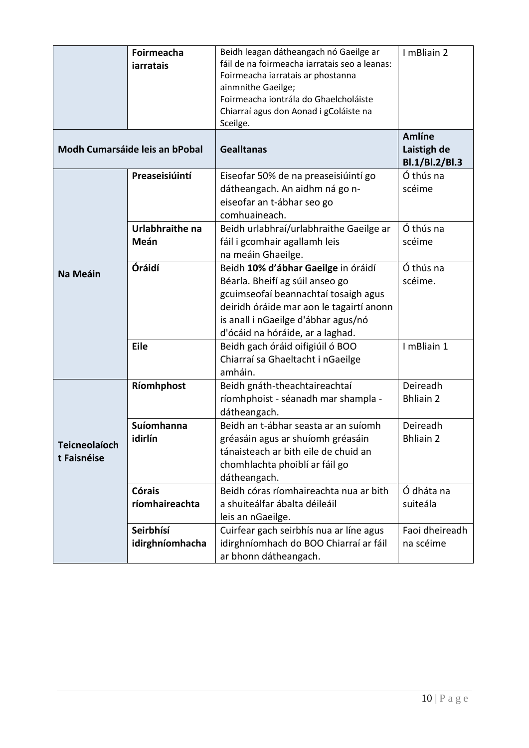|                                     | Foirmeacha<br>iarratais               | Beidh leagan dátheangach nó Gaeilge ar<br>fáil de na foirmeacha iarratais seo a leanas:<br>Foirmeacha iarratais ar phostanna<br>ainmnithe Gaeilge;<br>Foirmeacha iontrála do Ghaelcholáiste<br>Chiarraí agus don Aonad i gColáiste na<br>Sceilge. | I mBliain 2                             |
|-------------------------------------|---------------------------------------|---------------------------------------------------------------------------------------------------------------------------------------------------------------------------------------------------------------------------------------------------|-----------------------------------------|
|                                     | <b>Modh Cumarsáide leis an bPobal</b> | <b>Gealltanas</b>                                                                                                                                                                                                                                 | Amlíne<br>Laistigh de<br>Bl.1/Bl.2/Bl.3 |
|                                     | Preaseisiúintí                        | Eiseofar 50% de na preaseisiúintí go<br>dátheangach. An aidhm ná go n-<br>eiseofar an t-ábhar seo go<br>comhuaineach.                                                                                                                             | Ó thús na<br>scéime                     |
|                                     | Urlabhraithe na<br>Meán               | Beidh urlabhraí/urlabhraithe Gaeilge ar<br>fáil i gcomhair agallamh leis<br>na meáin Ghaeilge.                                                                                                                                                    | Ó thús na<br>scéime                     |
| Na Meáin                            | Óráidí                                | Beidh 10% d'ábhar Gaeilge in óráidí<br>Béarla. Bheifí ag súil anseo go<br>gcuimseofaí beannachtaí tosaigh agus<br>deiridh óráide mar aon le tagairtí anonn<br>is anall i nGaeilge d'ábhar agus/nó<br>d'ócáid na hóráide, ar a laghad.             | Ó thús na<br>scéime.                    |
|                                     | Eile                                  | Beidh gach óráid oifigiúil ó BOO<br>Chiarraí sa Ghaeltacht i nGaeilge<br>amháin.                                                                                                                                                                  | I mBliain 1                             |
|                                     | Ríomhphost                            | Beidh gnáth-theachtaireachtaí<br>ríomhphoist - séanadh mar shampla -<br>dátheangach.                                                                                                                                                              | Deireadh<br><b>Bhliain 2</b>            |
| <b>Teicneolaíoch</b><br>t Faisnéise | <b>Suíomhanna</b><br>idirlín          | Beidh an t-ábhar seasta ar an suíomh<br>gréasáin agus ar shuíomh gréasáin<br>tánaisteach ar bith eile de chuid an<br>chomhlachta phoiblí ar fáil go<br>dátheangach.                                                                               | Deireadh<br><b>Bhliain 2</b>            |
|                                     | <b>Córais</b><br>ríomhaireachta       | Beidh córas ríomhaireachta nua ar bith<br>a shuiteálfar ábalta déileáil<br>leis an nGaeilge.                                                                                                                                                      | Ó dháta na<br>suiteála                  |
|                                     | Seirbhísí<br>idirghníomhacha          | Cuirfear gach seirbhís nua ar líne agus<br>idirghníomhach do BOO Chiarraí ar fáil<br>ar bhonn dátheangach.                                                                                                                                        | Faoi dheireadh<br>na scéime             |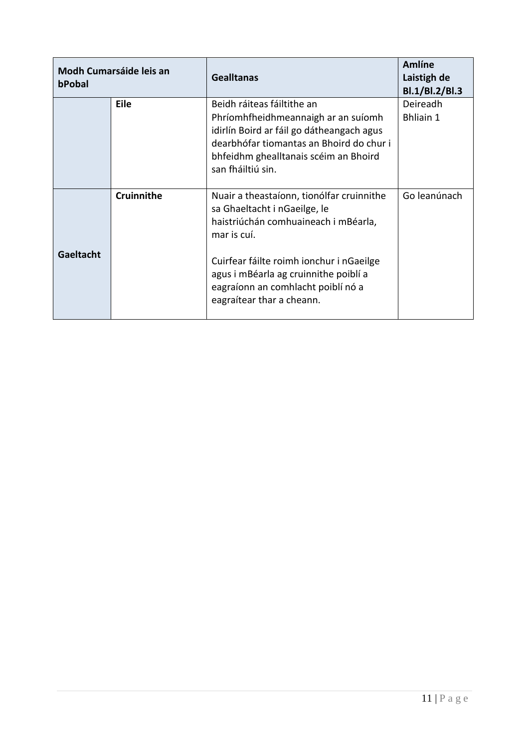| Modh Cumarsáide leis an<br>bPobal |             | <b>Gealltanas</b>                                                                                                                                                                                                        | <b>Amlíne</b><br>Laistigh de<br>Bl.1/Bl.2/Bl.3 |
|-----------------------------------|-------------|--------------------------------------------------------------------------------------------------------------------------------------------------------------------------------------------------------------------------|------------------------------------------------|
|                                   | <b>Eile</b> | Beidh ráiteas fáiltithe an<br>Phríomhfheidhmeannaigh ar an suíomh<br>idirlín Boird ar fáil go dátheangach agus<br>dearbhófar tiomantas an Bhoird do chur i<br>bhfeidhm ghealltanais scéim an Bhoird<br>san fháiltiú sin. | Deireadh<br><b>Bhliain 1</b>                   |
|                                   | Cruinnithe  | Nuair a theastaíonn, tionólfar cruinnithe<br>sa Ghaeltacht i nGaeilge, le<br>haistriúchán comhuaineach i mBéarla,<br>mar is cuí.                                                                                         | Go leanúnach                                   |
| Gaeltacht                         |             | Cuirfear fáilte roimh ionchur i nGaeilge<br>agus i mBéarla ag cruinnithe poiblí a<br>eagraíonn an comhlacht poiblí nó a<br>eagraítear thar a cheann.                                                                     |                                                |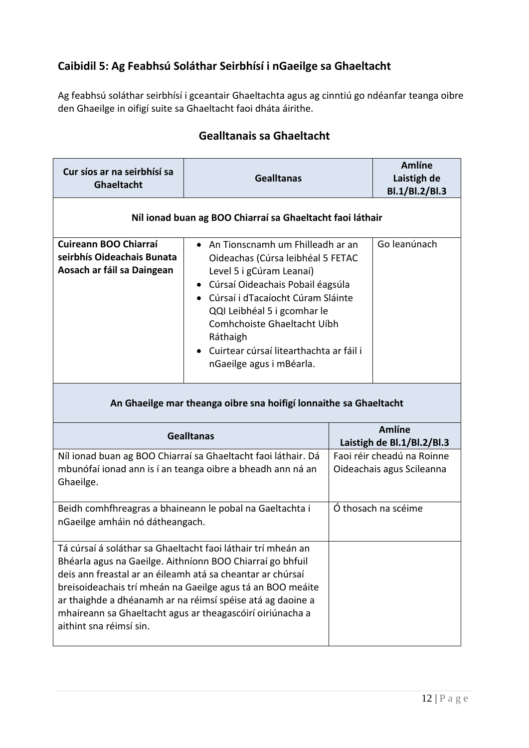## **Caibidil 5: Ag Feabhsú Soláthar Seirbhísí i nGaeilge sa Ghaeltacht**

Ag feabhsú soláthar seirbhísí i gceantair Ghaeltachta agus ag cinntiú go ndéanfar teanga oibre den Ghaeilge in oifigí suite sa Ghaeltacht faoi dháta áirithe.

| Cur síos ar na seirbhísí sa<br>Ghaeltacht                                                                                                                                                                                                                                                                                                                                                                   | <b>Gealltanas</b>                                                                                                                                                                                                                                                                                                             |  | <b>Amlíne</b><br>Laistigh de<br>Bl.1/Bl.2/Bl.3          |
|-------------------------------------------------------------------------------------------------------------------------------------------------------------------------------------------------------------------------------------------------------------------------------------------------------------------------------------------------------------------------------------------------------------|-------------------------------------------------------------------------------------------------------------------------------------------------------------------------------------------------------------------------------------------------------------------------------------------------------------------------------|--|---------------------------------------------------------|
|                                                                                                                                                                                                                                                                                                                                                                                                             | Níl ionad buan ag BOO Chiarraí sa Ghaeltacht faoi láthair                                                                                                                                                                                                                                                                     |  |                                                         |
| Cuireann BOO Chiarraí<br>seirbhís Oideachais Bunata<br>Aosach ar fáil sa Daingean                                                                                                                                                                                                                                                                                                                           | An Tionscnamh um Fhilleadh ar an<br>Oideachas (Cúrsa leibhéal 5 FETAC<br>Level 5 i gCúram Leanaí)<br>• Cúrsaí Oideachais Pobail éagsúla<br>Cúrsaí i dTacaíocht Cúram Sláinte<br>QQI Leibhéal 5 i gcomhar le<br>Comhchoiste Ghaeltacht Uíbh<br>Ráthaigh<br>Cuirtear cúrsaí litearthachta ar fáil i<br>nGaeilge agus i mBéarla. |  | Go leanúnach                                            |
|                                                                                                                                                                                                                                                                                                                                                                                                             | An Ghaeilge mar theanga oibre sna hoifigí lonnaithe sa Ghaeltacht                                                                                                                                                                                                                                                             |  |                                                         |
|                                                                                                                                                                                                                                                                                                                                                                                                             | <b>Gealltanas</b>                                                                                                                                                                                                                                                                                                             |  | <b>Amlíne</b><br>Laistigh de Bl.1/Bl.2/Bl.3             |
| Níl ionad buan ag BOO Chiarraí sa Ghaeltacht faoi láthair. Dá<br>mbunófaí ionad ann is í an teanga oibre a bheadh ann ná an<br>Ghaeilge.                                                                                                                                                                                                                                                                    |                                                                                                                                                                                                                                                                                                                               |  | Faoi réir cheadú na Roinne<br>Oideachais agus Scileanna |
| Beidh comhfhreagras a bhaineann le pobal na Gaeltachta i<br>nGaeilge amháin nó dátheangach.                                                                                                                                                                                                                                                                                                                 |                                                                                                                                                                                                                                                                                                                               |  | Ó thosach na scéime                                     |
| Tá cúrsaí á soláthar sa Ghaeltacht faoi láthair trí mheán an<br>Bhéarla agus na Gaeilge. Aithníonn BOO Chiarraí go bhfuil<br>deis ann freastal ar an éileamh atá sa cheantar ar chúrsaí<br>breisoideachais trí mheán na Gaeilge agus tá an BOO meáite<br>ar thaighde a dhéanamh ar na réimsí spéise atá ag daoine a<br>mhaireann sa Ghaeltacht agus ar theagascóirí oiriúnacha a<br>aithint sna réimsí sin. |                                                                                                                                                                                                                                                                                                                               |  |                                                         |

## **Gealltanais sa Ghaeltacht**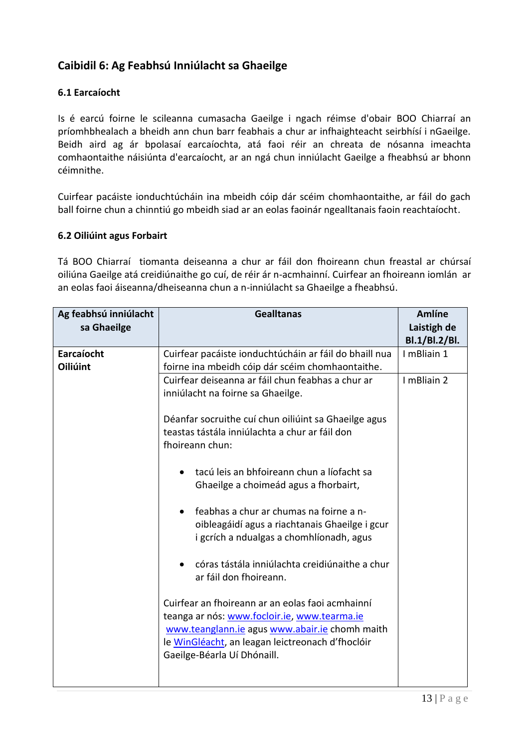## **Caibidil 6: Ag Feabhsú Inniúlacht sa Ghaeilge**

#### **6.1 Earcaíocht**

Is é earcú foirne le scileanna cumasacha Gaeilge i ngach réimse d'obair BOO Chiarraí an príomhbhealach a bheidh ann chun barr feabhais a chur ar infhaighteacht seirbhísí i nGaeilge. Beidh aird ag ár bpolasaí earcaíochta, atá faoi réir an chreata de nósanna imeachta comhaontaithe náisiúnta d'earcaíocht, ar an ngá chun inniúlacht Gaeilge a fheabhsú ar bhonn céimnithe.

Cuirfear pacáiste ionduchtúcháin ina mbeidh cóip dár scéim chomhaontaithe, ar fáil do gach ball foirne chun a chinntiú go mbeidh siad ar an eolas faoinár ngealltanais faoin reachtaíocht.

#### **6.2 Oiliúint agus Forbairt**

Tá BOO Chiarraí tiomanta deiseanna a chur ar fáil don fhoireann chun freastal ar chúrsaí oiliúna Gaeilge atá creidiúnaithe go cuí, de réir ár n-acmhainní. Cuirfear an fhoireann iomlán ar an eolas faoi áiseanna/dheiseanna chun a n-inniúlacht sa Ghaeilge a fheabhsú.

| Ag feabhsú inniúlacht<br>sa Ghaeilge | <b>Gealltanas</b>                                      | <b>Amlíne</b><br>Laistigh de |
|--------------------------------------|--------------------------------------------------------|------------------------------|
|                                      |                                                        | Bl.1/Bl.2/Bl.                |
| Earcaíocht                           | Cuirfear pacáiste ionduchtúcháin ar fáil do bhaill nua | I mBliain 1                  |
| Oiliúint                             | foirne ina mbeidh cóip dár scéim chomhaontaithe.       |                              |
|                                      | Cuirfear deiseanna ar fáil chun feabhas a chur ar      | I mBliain 2                  |
|                                      | inniúlacht na foirne sa Ghaeilge.                      |                              |
|                                      |                                                        |                              |
|                                      | Déanfar socruithe cuí chun oiliúint sa Ghaeilge agus   |                              |
|                                      | teastas tástála inniúlachta a chur ar fáil don         |                              |
|                                      | fhoireann chun:                                        |                              |
|                                      |                                                        |                              |
|                                      | tacú leis an bhfoireann chun a líofacht sa             |                              |
|                                      | Ghaeilge a choimeád agus a fhorbairt,                  |                              |
|                                      |                                                        |                              |
|                                      | feabhas a chur ar chumas na foirne a n-<br>$\bullet$   |                              |
|                                      | oibleagáidí agus a riachtanais Ghaeilge i gcur         |                              |
|                                      | i gcrích a ndualgas a chomhlíonadh, agus               |                              |
|                                      |                                                        |                              |
|                                      | córas tástála inniúlachta creidiúnaithe a chur         |                              |
|                                      | ar fáil don fhoireann.                                 |                              |
|                                      |                                                        |                              |
|                                      | Cuirfear an fhoireann ar an eolas faoi acmhainní       |                              |
|                                      | teanga ar nós: www.focloir.ie, www.tearma.ie           |                              |
|                                      |                                                        |                              |
|                                      | www.teanglann.ie agus www.abair.ie chomh maith         |                              |
|                                      | le WinGléacht, an leagan leictreonach d'fhoclóir       |                              |
|                                      | Gaeilge-Béarla Uí Dhónaill.                            |                              |
|                                      |                                                        |                              |
|                                      |                                                        |                              |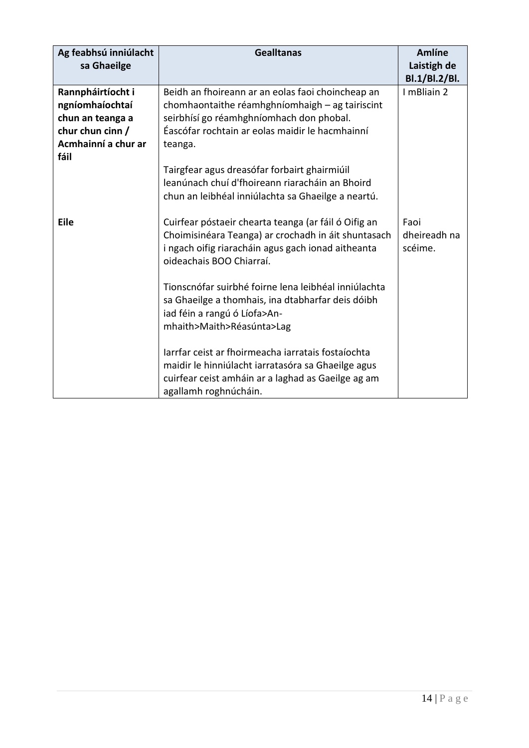| Ag feabhsú inniúlacht<br>sa Ghaeilge                                                                        | <b>Gealltanas</b>                                                                                                                                                                                              | <b>Amlíne</b><br>Laistigh de<br>Bl.1/Bl.2/Bl. |
|-------------------------------------------------------------------------------------------------------------|----------------------------------------------------------------------------------------------------------------------------------------------------------------------------------------------------------------|-----------------------------------------------|
| Rannpháirtíocht i<br>ngníomhaíochtaí<br>chun an teanga a<br>chur chun cinn /<br>Acmhainní a chur ar<br>fáil | Beidh an fhoireann ar an eolas faoi choincheap an<br>chomhaontaithe réamhghníomhaigh - ag tairiscint<br>seirbhísí go réamhghníomhach don phobal.<br>Éascófar rochtain ar eolas maidir le hacmhainní<br>teanga. | I mBliain 2                                   |
|                                                                                                             | Tairgfear agus dreasófar forbairt ghairmiúil<br>leanúnach chuí d'fhoireann riaracháin an Bhoird<br>chun an leibhéal inniúlachta sa Ghaeilge a neartú.                                                          |                                               |
| <b>Eile</b>                                                                                                 | Cuirfear póstaeir chearta teanga (ar fáil ó Oifig an<br>Choimisinéara Teanga) ar crochadh in áit shuntasach<br>i ngach oifig riaracháin agus gach ionad aitheanta<br>oideachais BOO Chiarraí.                  | Faoi<br>dheireadh na<br>scéime.               |
|                                                                                                             | Tionscnófar suirbhé foirne lena leibhéal inniúlachta<br>sa Ghaeilge a thomhais, ina dtabharfar deis dóibh<br>iad féin a rangú ó Líofa>An-<br>mhaith>Maith>Réasúnta>Lag                                         |                                               |
|                                                                                                             | larrfar ceist ar fhoirmeacha iarratais fostaíochta<br>maidir le hinniúlacht iarratasóra sa Ghaeilge agus<br>cuirfear ceist amháin ar a laghad as Gaeilge ag am<br>agallamh roghnúcháin.                        |                                               |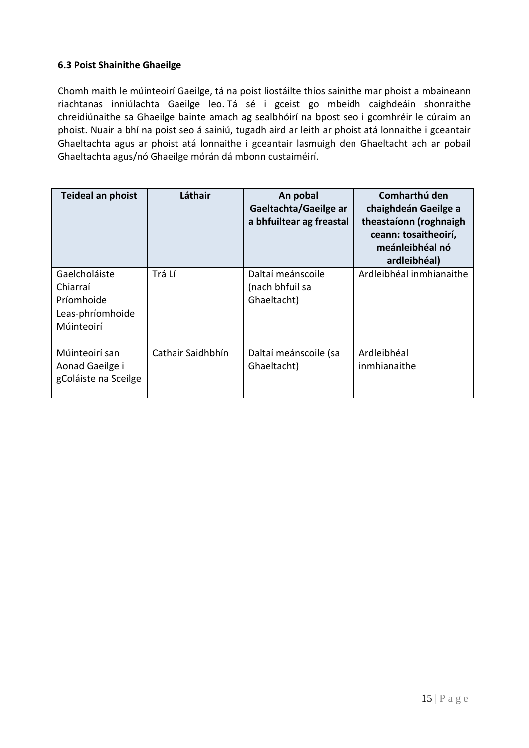#### **6.3 Poist Shainithe Ghaeilge**

Chomh maith le múinteoirí Gaeilge, tá na poist liostáilte thíos sainithe mar phoist a mbaineann riachtanas inniúlachta Gaeilge leo. Tá sé i gceist go mbeidh caighdeáin shonraithe chreidiúnaithe sa Ghaeilge bainte amach ag sealbhóirí na bpost seo i gcomhréir le cúraim an phoist. Nuair a bhí na poist seo á sainiú, tugadh aird ar leith ar phoist atá lonnaithe i gceantair Ghaeltachta agus ar phoist atá lonnaithe i gceantair lasmuigh den Ghaeltacht ach ar pobail Ghaeltachta agus/nó Ghaeilge mórán dá mbonn custaiméirí.

| Teideal an phoist                                                         | Láthair           | An pobal<br>Gaeltachta/Gaeilge ar<br>a bhfuiltear ag freastal | Comharthú den<br>chaighdeán Gaeilge a<br>theastaíonn (roghnaigh<br>ceann: tosaitheoirí,<br>meánleibhéal nó<br>ardleibhéal) |
|---------------------------------------------------------------------------|-------------------|---------------------------------------------------------------|----------------------------------------------------------------------------------------------------------------------------|
| Gaelcholáiste<br>Chiarraí<br>Príomhoide<br>Leas-phríomhoide<br>Múinteoirí | Trá Lí            | Daltaí meánscoile<br>(nach bhfuil sa<br>Ghaeltacht)           | Ardleibhéal inmhianaithe                                                                                                   |
| Múinteoirí san<br>Aonad Gaeilge i<br>gColáiste na Sceilge                 | Cathair Saidhbhín | Daltaí meánscoile (sa<br>Ghaeltacht)                          | Ardleibhéal<br>inmhianaithe                                                                                                |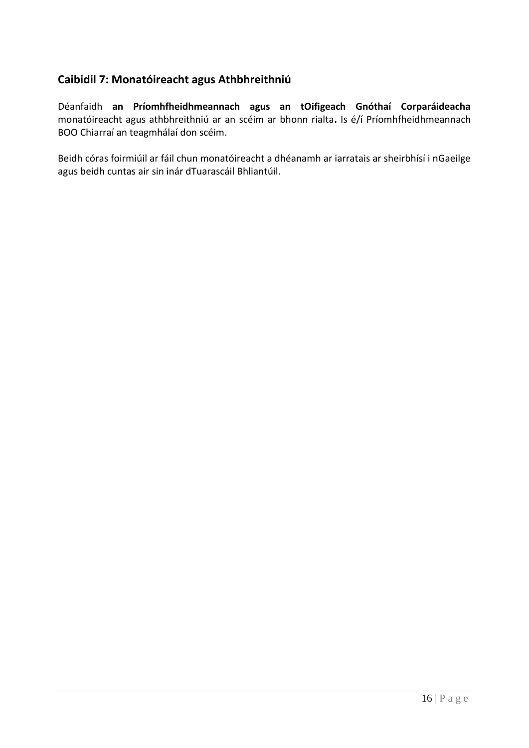## **Caibidil 7: Monatóireacht agus Athbhreithniú**

Déanfaidh **an Príomhfheidhmeannach agus an tOifigeach Gnóthaí Corparáideacha** monatóireacht agus athbhreithniú ar an scéim ar bhonn rialta**.** Is é/í Príomhfheidhmeannach BOO Chiarraí an teagmhálaí don scéim.

Beidh córas foirmiúil ar fáil chun monatóireacht a dhéanamh ar iarratais ar sheirbhísí i nGaeilge agus beidh cuntas air sin inár dTuarascáil Bhliantúil.